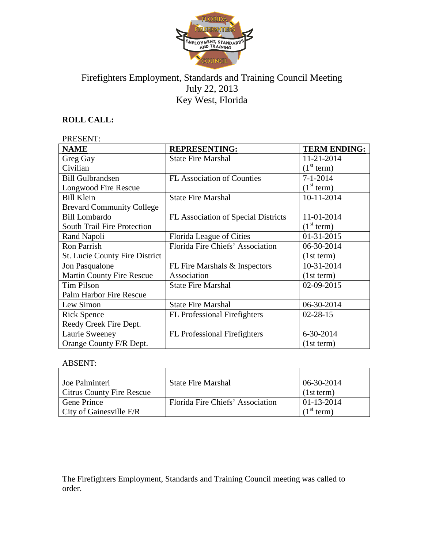

# Firefighters Employment, Standards and Training Council Meeting July 22, 2013 Key West, Florida

# **ROLL CALL:**

### PRESENT:

| <b>NAME</b>                           | <b>REPRESENTING:</b>                | <b>TERM ENDING:</b>    |
|---------------------------------------|-------------------------------------|------------------------|
| Greg Gay                              | <b>State Fire Marshal</b>           | 11-21-2014             |
| Civilian                              |                                     | (1 <sup>st</sup> term) |
| <b>Bill Gulbrandsen</b>               | FL Association of Counties          | $7 - 1 - 2014$         |
| Longwood Fire Rescue                  |                                     | (1 <sup>st</sup> term) |
| <b>Bill Klein</b>                     | <b>State Fire Marshal</b>           | 10-11-2014             |
| <b>Brevard Community College</b>      |                                     |                        |
| <b>Bill Lombardo</b>                  | FL Association of Special Districts | 11-01-2014             |
| <b>South Trail Fire Protection</b>    |                                     | (1 <sup>st</sup> term) |
| Rand Napoli                           | Florida League of Cities            | 01-31-2015             |
| <b>Ron Parrish</b>                    | Florida Fire Chiefs' Association    | 06-30-2014             |
| <b>St. Lucie County Fire District</b> |                                     | (1st term)             |
| Jon Pasqualone                        | FL Fire Marshals & Inspectors       | 10-31-2014             |
| <b>Martin County Fire Rescue</b>      | Association                         | (1st term)             |
| <b>Tim Pilson</b>                     | <b>State Fire Marshal</b>           | 02-09-2015             |
| Palm Harbor Fire Rescue               |                                     |                        |
| Lew Simon                             | <b>State Fire Marshal</b>           | 06-30-2014             |
| <b>Rick Spence</b>                    | <b>FL</b> Professional Firefighters | $02 - 28 - 15$         |
| Reedy Creek Fire Dept.                |                                     |                        |
| Laurie Sweeney                        | <b>FL</b> Professional Firefighters | 6-30-2014              |
| Orange County F/R Dept.               |                                     | (1st term)             |

## ABSENT:

| Joe Palminteri                   | <b>State Fire Marshal</b>        | 06-30-2014             |
|----------------------------------|----------------------------------|------------------------|
| <b>Citrus County Fire Rescue</b> |                                  | (1st term)             |
| Gene Prince                      | Florida Fire Chiefs' Association | 01-13-2014             |
| $\vert$ City of Gainesville F/R  |                                  | (1 <sup>st</sup> term) |

The Firefighters Employment, Standards and Training Council meeting was called to order.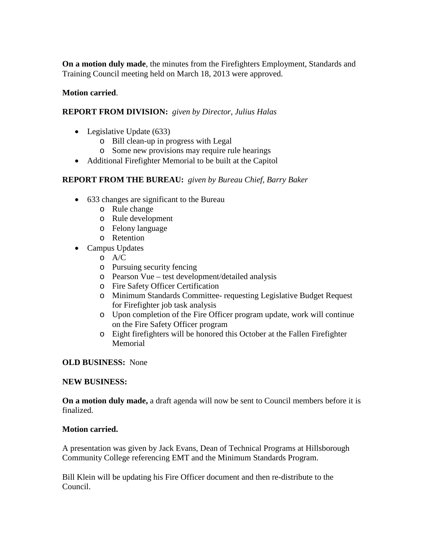**On a motion duly made**, the minutes from the Firefighters Employment, Standards and Training Council meeting held on March 18, 2013 were approved.

#### **Motion carried**.

#### **REPORT FROM DIVISION:** *given by Director, Julius Halas*

- Legislative Update (633)
	- o Bill clean-up in progress with Legal
	- o Some new provisions may require rule hearings
- Additional Firefighter Memorial to be built at the Capitol

#### **REPORT FROM THE BUREAU:** *given by Bureau Chief, Barry Baker*

- 633 changes are significant to the Bureau
	- o Rule change
	- o Rule development
	- o Felony language
	- o Retention
- Campus Updates
	- o A/C
	- o Pursuing security fencing
	- o Pearson Vue test development/detailed analysis
	- o Fire Safety Officer Certification
	- o Minimum Standards Committee- requesting Legislative Budget Request for Firefighter job task analysis
	- o Upon completion of the Fire Officer program update, work will continue on the Fire Safety Officer program
	- o Eight firefighters will be honored this October at the Fallen Firefighter Memorial

#### **OLD BUSINESS:** None

#### **NEW BUSINESS:**

**On a motion duly made,** a draft agenda will now be sent to Council members before it is finalized.

#### **Motion carried.**

A presentation was given by Jack Evans, Dean of Technical Programs at Hillsborough Community College referencing EMT and the Minimum Standards Program.

Bill Klein will be updating his Fire Officer document and then re-distribute to the Council.